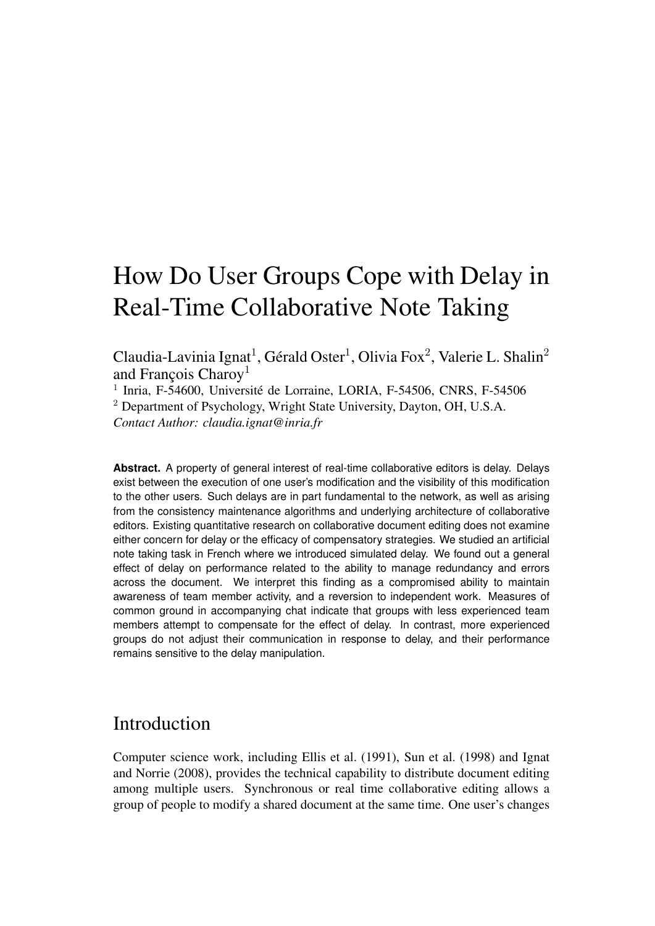# How Do User Groups Cope with Delay in Real-Time Collaborative Note Taking

Claudia-Lavinia Ignat<sup>1</sup>, Gérald Oster<sup>1</sup>, Olivia Fox<sup>2</sup>, Valerie L. Shalin<sup>2</sup> and François Charoy<sup>1</sup>

<sup>1</sup> Inria, F-54600, Université de Lorraine, LORIA, F-54506, CNRS, F-54506 <sup>2</sup> Department of Psychology, Wright State University, Dayton, OH, U.S.A. *Contact Author: claudia.ignat@inria.fr*

**Abstract.** A property of general interest of real-time collaborative editors is delay. Delays exist between the execution of one user's modification and the visibility of this modification to the other users. Such delays are in part fundamental to the network, as well as arising from the consistency maintenance algorithms and underlying architecture of collaborative editors. Existing quantitative research on collaborative document editing does not examine either concern for delay or the efficacy of compensatory strategies. We studied an artificial note taking task in French where we introduced simulated delay. We found out a general effect of delay on performance related to the ability to manage redundancy and errors across the document. We interpret this finding as a compromised ability to maintain awareness of team member activity, and a reversion to independent work. Measures of common ground in accompanying chat indicate that groups with less experienced team members attempt to compensate for the effect of delay. In contrast, more experienced groups do not adjust their communication in response to delay, and their performance remains sensitive to the delay manipulation.

# Introduction

Computer science work, including [Ellis et al.](#page-18-0) [\(1991\)](#page-18-0), [Sun et al.](#page-19-0) [\(1998\)](#page-19-0) and [Ignat](#page-19-1) [and Norrie](#page-19-1) [\(2008\)](#page-19-1), provides the technical capability to distribute document editing among multiple users. Synchronous or real time collaborative editing allows a group of people to modify a shared document at the same time. One user's changes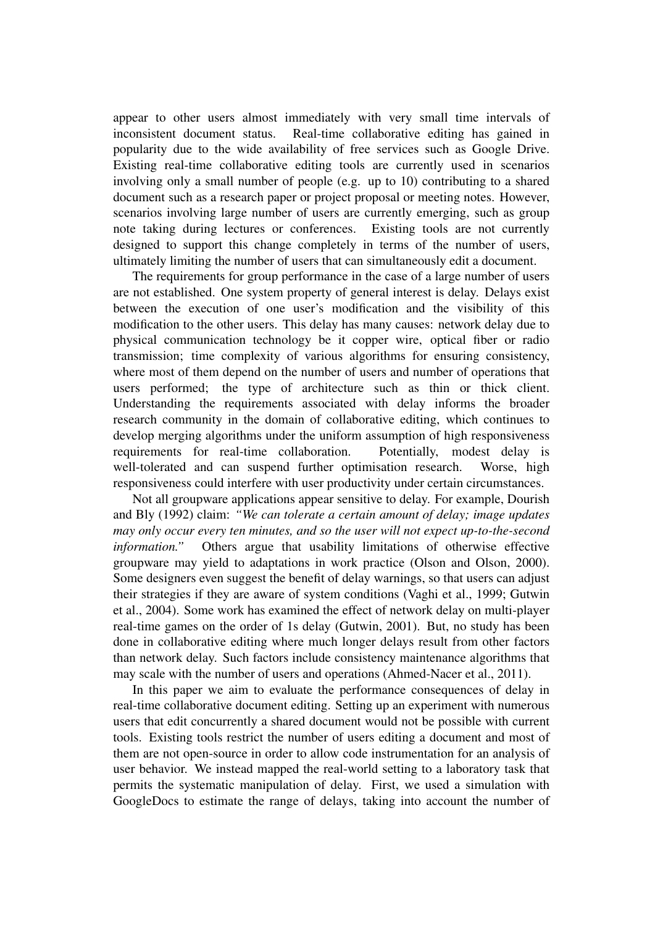appear to other users almost immediately with very small time intervals of inconsistent document status. Real-time collaborative editing has gained in popularity due to the wide availability of free services such as Google Drive. Existing real-time collaborative editing tools are currently used in scenarios involving only a small number of people (e.g. up to 10) contributing to a shared document such as a research paper or project proposal or meeting notes. However, scenarios involving large number of users are currently emerging, such as group note taking during lectures or conferences. Existing tools are not currently designed to support this change completely in terms of the number of users, ultimately limiting the number of users that can simultaneously edit a document.

The requirements for group performance in the case of a large number of users are not established. One system property of general interest is delay. Delays exist between the execution of one user's modification and the visibility of this modification to the other users. This delay has many causes: network delay due to physical communication technology be it copper wire, optical fiber or radio transmission; time complexity of various algorithms for ensuring consistency, where most of them depend on the number of users and number of operations that users performed; the type of architecture such as thin or thick client. Understanding the requirements associated with delay informs the broader research community in the domain of collaborative editing, which continues to develop merging algorithms under the uniform assumption of high responsiveness requirements for real-time collaboration. Potentially, modest delay is well-tolerated and can suspend further optimisation research. Worse, high responsiveness could interfere with user productivity under certain circumstances.

Not all groupware applications appear sensitive to delay. For example, [Dourish](#page-18-1) [and Bly](#page-18-1) [\(1992\)](#page-18-1) claim: *"We can tolerate a certain amount of delay; image updates may only occur every ten minutes, and so the user will not expect up-to-the-second information."* Others argue that usability limitations of otherwise effective groupware may yield to adaptations in work practice [\(Olson and Olson,](#page-19-2) [2000\)](#page-19-2). Some designers even suggest the benefit of delay warnings, so that users can adjust their strategies if they are aware of system conditions [\(Vaghi et al.,](#page-19-3) [1999;](#page-19-3) [Gutwin](#page-19-4) [et al.,](#page-19-4) [2004\)](#page-19-4). Some work has examined the effect of network delay on multi-player real-time games on the order of 1s delay [\(Gutwin,](#page-18-2) [2001\)](#page-18-2). But, no study has been done in collaborative editing where much longer delays result from other factors than network delay. Such factors include consistency maintenance algorithms that may scale with the number of users and operations [\(Ahmed-Nacer et al.,](#page-18-3) [2011\)](#page-18-3).

In this paper we aim to evaluate the performance consequences of delay in real-time collaborative document editing. Setting up an experiment with numerous users that edit concurrently a shared document would not be possible with current tools. Existing tools restrict the number of users editing a document and most of them are not open-source in order to allow code instrumentation for an analysis of user behavior. We instead mapped the real-world setting to a laboratory task that permits the systematic manipulation of delay. First, we used a simulation with GoogleDocs to estimate the range of delays, taking into account the number of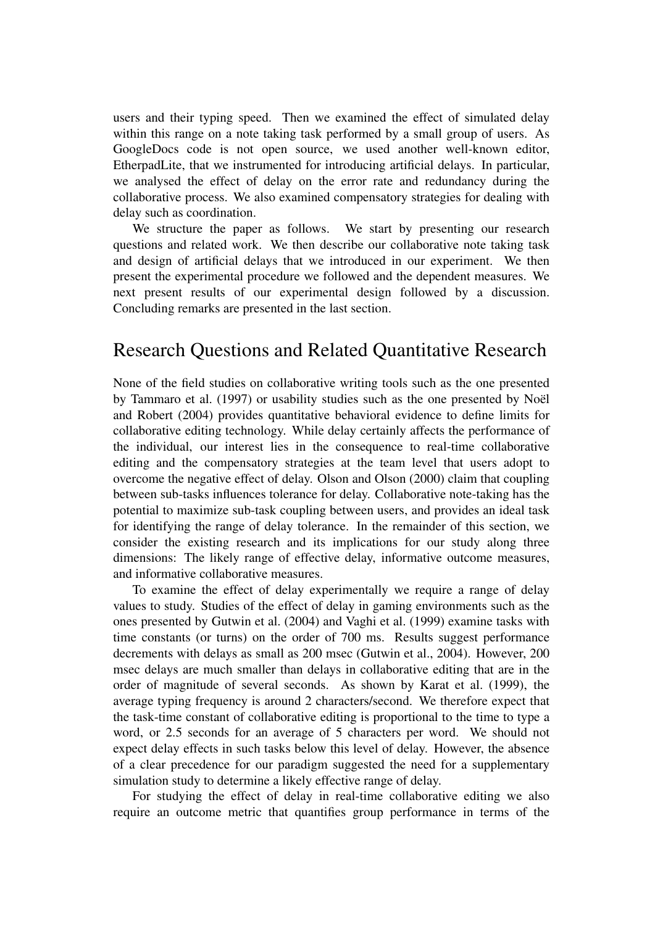users and their typing speed. Then we examined the effect of simulated delay within this range on a note taking task performed by a small group of users. As GoogleDocs code is not open source, we used another well-known editor, EtherpadLite, that we instrumented for introducing artificial delays. In particular, we analysed the effect of delay on the error rate and redundancy during the collaborative process. We also examined compensatory strategies for dealing with delay such as coordination.

We structure the paper as follows. We start by presenting our research questions and related work. We then describe our collaborative note taking task and design of artificial delays that we introduced in our experiment. We then present the experimental procedure we followed and the dependent measures. We next present results of our experimental design followed by a discussion. Concluding remarks are presented in the last section.

## Research Questions and Related Quantitative Research

None of the field studies on collaborative writing tools such as the one presented by [Tammaro et al.](#page-19-5) [\(1997\)](#page-19-5) or usability studies such as the one presented by [Noël](#page-19-6) [and Robert](#page-19-6) [\(2004\)](#page-19-6) provides quantitative behavioral evidence to define limits for collaborative editing technology. While delay certainly affects the performance of the individual, our interest lies in the consequence to real-time collaborative editing and the compensatory strategies at the team level that users adopt to overcome the negative effect of delay. [Olson and Olson](#page-19-2) [\(2000\)](#page-19-2) claim that coupling between sub-tasks influences tolerance for delay. Collaborative note-taking has the potential to maximize sub-task coupling between users, and provides an ideal task for identifying the range of delay tolerance. In the remainder of this section, we consider the existing research and its implications for our study along three dimensions: The likely range of effective delay, informative outcome measures, and informative collaborative measures.

To examine the effect of delay experimentally we require a range of delay values to study. Studies of the effect of delay in gaming environments such as the ones presented by [Gutwin et al.](#page-19-4) [\(2004\)](#page-19-4) and [Vaghi et al.](#page-19-3) [\(1999\)](#page-19-3) examine tasks with time constants (or turns) on the order of 700 ms. Results suggest performance decrements with delays as small as 200 msec [\(Gutwin et al.,](#page-19-4) [2004\)](#page-19-4). However, 200 msec delays are much smaller than delays in collaborative editing that are in the order of magnitude of several seconds. As shown by [Karat et al.](#page-19-7) [\(1999\)](#page-19-7), the average typing frequency is around 2 characters/second. We therefore expect that the task-time constant of collaborative editing is proportional to the time to type a word, or 2.5 seconds for an average of 5 characters per word. We should not expect delay effects in such tasks below this level of delay. However, the absence of a clear precedence for our paradigm suggested the need for a supplementary simulation study to determine a likely effective range of delay.

For studying the effect of delay in real-time collaborative editing we also require an outcome metric that quantifies group performance in terms of the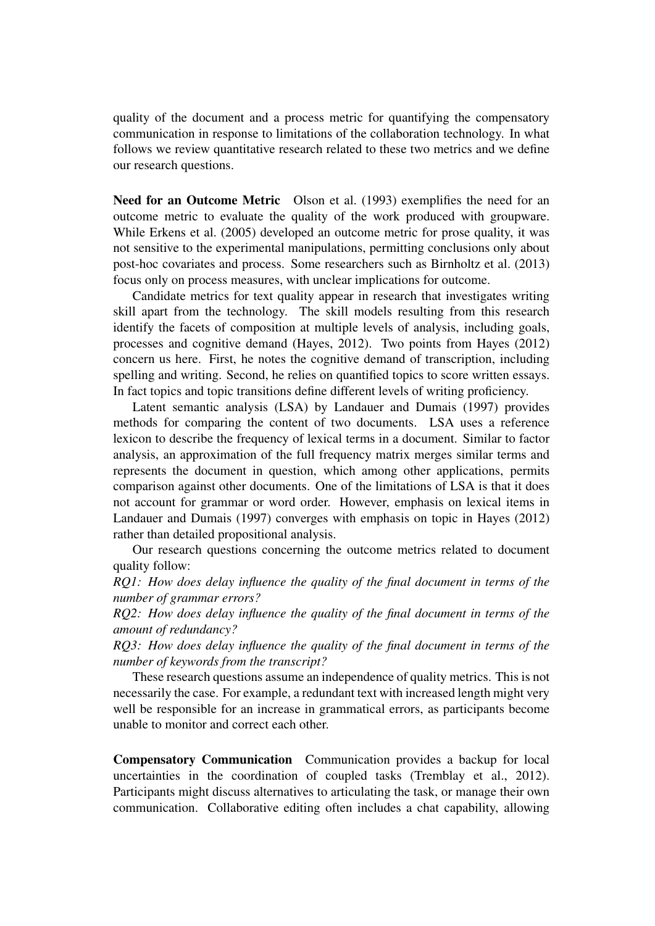quality of the document and a process metric for quantifying the compensatory communication in response to limitations of the collaboration technology. In what follows we review quantitative research related to these two metrics and we define our research questions.

Need for an Outcome Metric [Olson et al.](#page-19-8) [\(1993\)](#page-19-8) exemplifies the need for an outcome metric to evaluate the quality of the work produced with groupware. While [Erkens et al.](#page-18-4) [\(2005\)](#page-18-4) developed an outcome metric for prose quality, it was not sensitive to the experimental manipulations, permitting conclusions only about post-hoc covariates and process. Some researchers such as [Birnholtz et al.](#page-18-5) [\(2013\)](#page-18-5) focus only on process measures, with unclear implications for outcome.

Candidate metrics for text quality appear in research that investigates writing skill apart from the technology. The skill models resulting from this research identify the facets of composition at multiple levels of analysis, including goals, processes and cognitive demand [\(Hayes,](#page-19-9) [2012\)](#page-19-9). Two points from [Hayes](#page-19-9) [\(2012\)](#page-19-9) concern us here. First, he notes the cognitive demand of transcription, including spelling and writing. Second, he relies on quantified topics to score written essays. In fact topics and topic transitions define different levels of writing proficiency.

Latent semantic analysis (LSA) by [Landauer and Dumais](#page-19-10) [\(1997\)](#page-19-10) provides methods for comparing the content of two documents. LSA uses a reference lexicon to describe the frequency of lexical terms in a document. Similar to factor analysis, an approximation of the full frequency matrix merges similar terms and represents the document in question, which among other applications, permits comparison against other documents. One of the limitations of LSA is that it does not account for grammar or word order. However, emphasis on lexical items in [Landauer and Dumais](#page-19-10) [\(1997\)](#page-19-10) converges with emphasis on topic in [Hayes](#page-19-9) [\(2012\)](#page-19-9) rather than detailed propositional analysis.

Our research questions concerning the outcome metrics related to document quality follow:

*RQ1: How does delay influence the quality of the final document in terms of the number of grammar errors?*

*RQ2: How does delay influence the quality of the final document in terms of the amount of redundancy?*

*RQ3: How does delay influence the quality of the final document in terms of the number of keywords from the transcript?*

These research questions assume an independence of quality metrics. This is not necessarily the case. For example, a redundant text with increased length might very well be responsible for an increase in grammatical errors, as participants become unable to monitor and correct each other.

Compensatory Communication Communication provides a backup for local uncertainties in the coordination of coupled tasks [\(Tremblay et al.,](#page-19-11) [2012\)](#page-19-11). Participants might discuss alternatives to articulating the task, or manage their own communication. Collaborative editing often includes a chat capability, allowing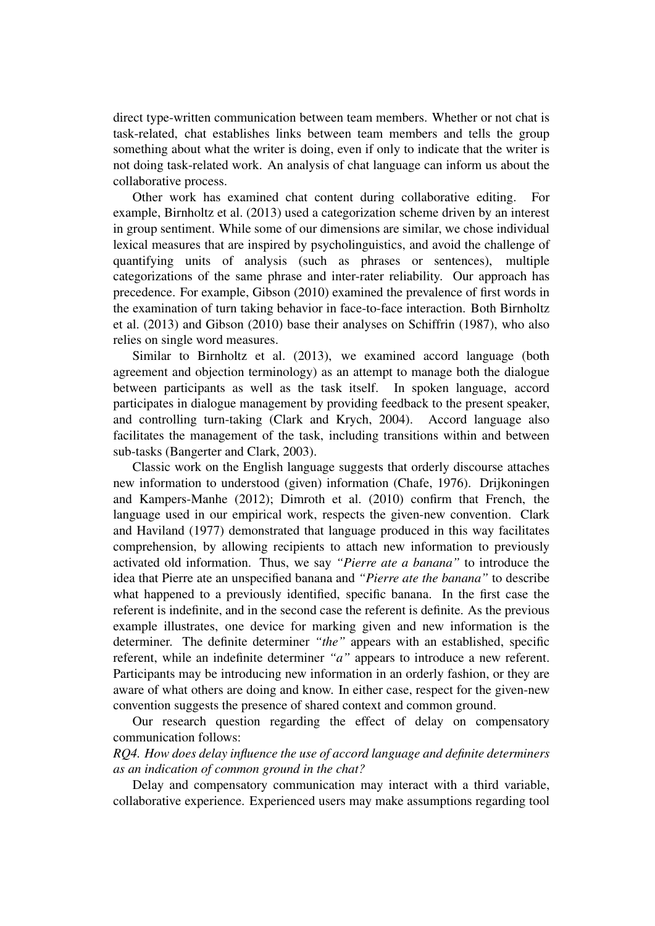direct type-written communication between team members. Whether or not chat is task-related, chat establishes links between team members and tells the group something about what the writer is doing, even if only to indicate that the writer is not doing task-related work. An analysis of chat language can inform us about the collaborative process.

Other work has examined chat content during collaborative editing. For example, [Birnholtz et al.](#page-18-5) [\(2013\)](#page-18-5) used a categorization scheme driven by an interest in group sentiment. While some of our dimensions are similar, we chose individual lexical measures that are inspired by psycholinguistics, and avoid the challenge of quantifying units of analysis (such as phrases or sentences), multiple categorizations of the same phrase and inter-rater reliability. Our approach has precedence. For example, [Gibson](#page-18-6) [\(2010\)](#page-18-6) examined the prevalence of first words in the examination of turn taking behavior in face-to-face interaction. Both [Birnholtz](#page-18-5) [et al.](#page-18-5) [\(2013\)](#page-18-5) and [Gibson](#page-18-6) [\(2010\)](#page-18-6) base their analyses on [Schiffrin](#page-19-12) [\(1987\)](#page-19-12), who also relies on single word measures.

Similar to [Birnholtz et al.](#page-18-5) [\(2013\)](#page-18-5), we examined accord language (both agreement and objection terminology) as an attempt to manage both the dialogue between participants as well as the task itself. In spoken language, accord participates in dialogue management by providing feedback to the present speaker, and controlling turn-taking [\(Clark and Krych,](#page-18-7) [2004\)](#page-18-7). Accord language also facilitates the management of the task, including transitions within and between sub-tasks [\(Bangerter and Clark,](#page-18-8) [2003\)](#page-18-8).

Classic work on the English language suggests that orderly discourse attaches new information to understood (given) information [\(Chafe,](#page-18-9) [1976\)](#page-18-9). [Drijkoningen](#page-18-10) [and Kampers-Manhe](#page-18-10) [\(2012\)](#page-18-10); [Dimroth et al.](#page-18-11) [\(2010\)](#page-18-11) confirm that French, the language used in our empirical work, respects the given-new convention. [Clark](#page-18-12) [and Haviland](#page-18-12) [\(1977\)](#page-18-12) demonstrated that language produced in this way facilitates comprehension, by allowing recipients to attach new information to previously activated old information. Thus, we say *"Pierre ate a banana"* to introduce the idea that Pierre ate an unspecified banana and *"Pierre ate the banana"* to describe what happened to a previously identified, specific banana. In the first case the referent is indefinite, and in the second case the referent is definite. As the previous example illustrates, one device for marking given and new information is the determiner. The definite determiner *"the"* appears with an established, specific referent, while an indefinite determiner *"a"* appears to introduce a new referent. Participants may be introducing new information in an orderly fashion, or they are aware of what others are doing and know. In either case, respect for the given-new convention suggests the presence of shared context and common ground.

Our research question regarding the effect of delay on compensatory communication follows:

*RQ4. How does delay influence the use of accord language and definite determiners as an indication of common ground in the chat?*

Delay and compensatory communication may interact with a third variable, collaborative experience. Experienced users may make assumptions regarding tool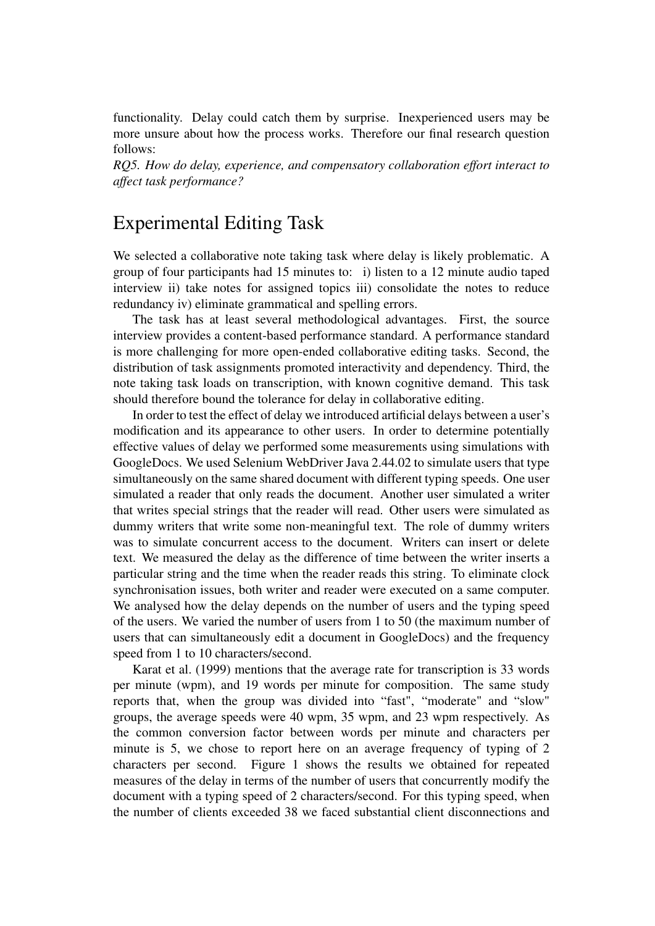functionality. Delay could catch them by surprise. Inexperienced users may be more unsure about how the process works. Therefore our final research question follows:

*RQ5. How do delay, experience, and compensatory collaboration effort interact to affect task performance?*

### Experimental Editing Task

We selected a collaborative note taking task where delay is likely problematic. A group of four participants had 15 minutes to: i) listen to a 12 minute audio taped interview ii) take notes for assigned topics iii) consolidate the notes to reduce redundancy iv) eliminate grammatical and spelling errors.

The task has at least several methodological advantages. First, the source interview provides a content-based performance standard. A performance standard is more challenging for more open-ended collaborative editing tasks. Second, the distribution of task assignments promoted interactivity and dependency. Third, the note taking task loads on transcription, with known cognitive demand. This task should therefore bound the tolerance for delay in collaborative editing.

In order to test the effect of delay we introduced artificial delays between a user's modification and its appearance to other users. In order to determine potentially effective values of delay we performed some measurements using simulations with GoogleDocs. We used Selenium WebDriver Java 2.44.02 to simulate users that type simultaneously on the same shared document with different typing speeds. One user simulated a reader that only reads the document. Another user simulated a writer that writes special strings that the reader will read. Other users were simulated as dummy writers that write some non-meaningful text. The role of dummy writers was to simulate concurrent access to the document. Writers can insert or delete text. We measured the delay as the difference of time between the writer inserts a particular string and the time when the reader reads this string. To eliminate clock synchronisation issues, both writer and reader were executed on a same computer. We analysed how the delay depends on the number of users and the typing speed of the users. We varied the number of users from 1 to 50 (the maximum number of users that can simultaneously edit a document in GoogleDocs) and the frequency speed from 1 to 10 characters/second.

[Karat et al.](#page-19-7) [\(1999\)](#page-19-7) mentions that the average rate for transcription is 33 words per minute (wpm), and 19 words per minute for composition. The same study reports that, when the group was divided into "fast", "moderate" and "slow" groups, the average speeds were 40 wpm, 35 wpm, and 23 wpm respectively. As the common conversion factor between words per minute and characters per minute is 5, we chose to report here on an average frequency of typing of 2 characters per second. Figure [1](#page-6-0) shows the results we obtained for repeated measures of the delay in terms of the number of users that concurrently modify the document with a typing speed of 2 characters/second. For this typing speed, when the number of clients exceeded 38 we faced substantial client disconnections and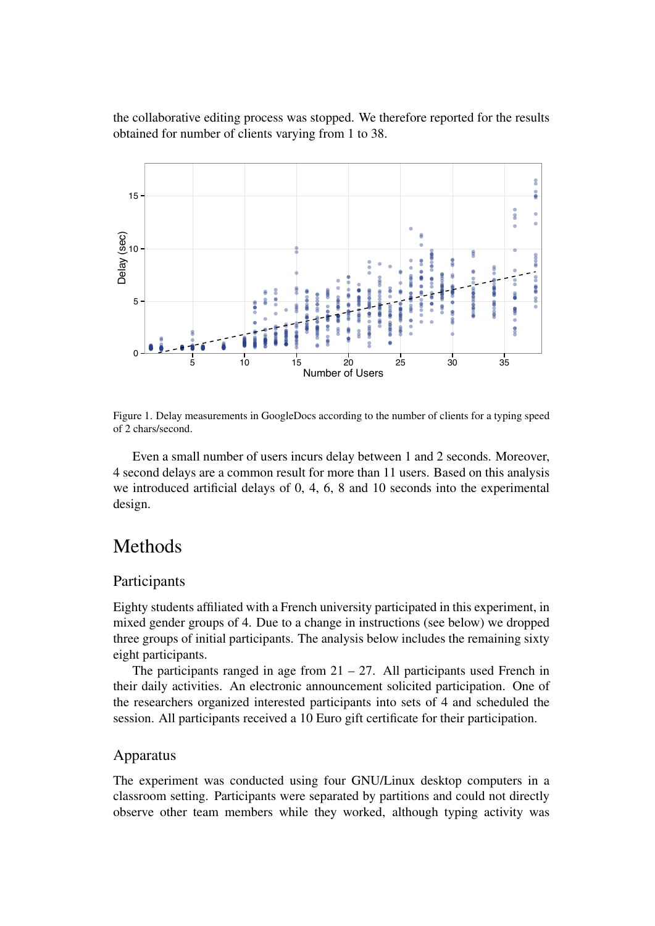the collaborative editing process was stopped. We therefore reported for the results obtained for number of clients varying from 1 to 38.



<span id="page-6-0"></span>Figure 1. Delay measurements in GoogleDocs according to the number of clients for a typing speed of 2 chars/second.

Even a small number of users incurs delay between 1 and 2 seconds. Moreover, 4 second delays are a common result for more than 11 users. Based on this analysis we introduced artificial delays of 0, 4, 6, 8 and 10 seconds into the experimental design.

# Methods

### Participants

Eighty students affiliated with a French university participated in this experiment, in mixed gender groups of 4. Due to a change in instructions (see below) we dropped three groups of initial participants. The analysis below includes the remaining sixty eight participants.

The participants ranged in age from  $21 - 27$ . All participants used French in their daily activities. An electronic announcement solicited participation. One of the researchers organized interested participants into sets of 4 and scheduled the session. All participants received a 10 Euro gift certificate for their participation.

#### Apparatus

The experiment was conducted using four GNU/Linux desktop computers in a classroom setting. Participants were separated by partitions and could not directly observe other team members while they worked, although typing activity was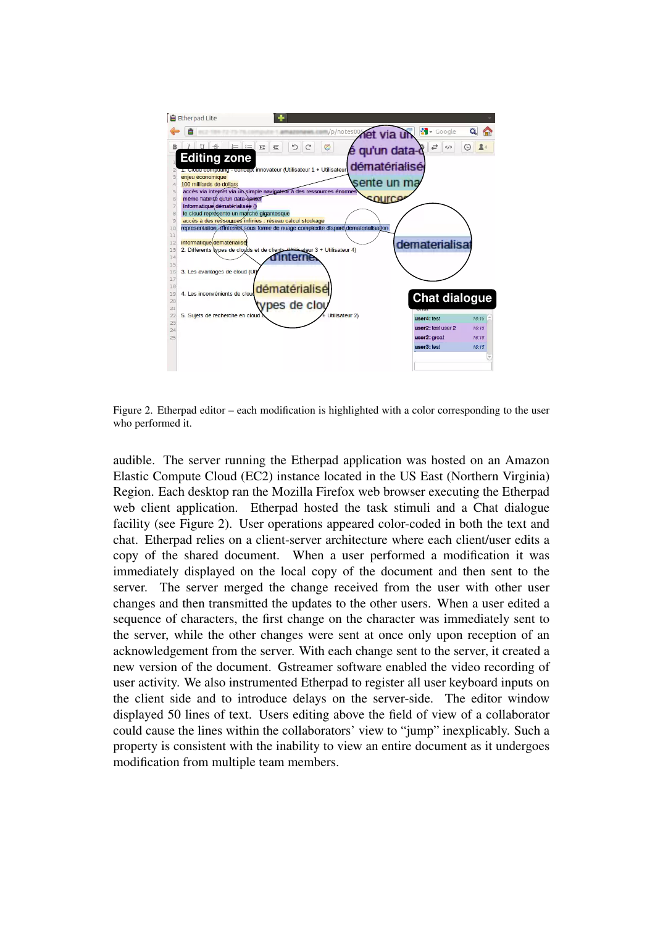

<span id="page-7-0"></span>**Chat diagrams** Figure 2. Etherpad editor – each modification is highlighted with a color corresponding to the user who performed it.

audible. The server running the Etherpad application was hosted on an Amazon Elastic Compute Cloud (EC2) instance located in the US East (Northern Virginia) Region. Each desktop ran the Mozilla Firefox web browser executing the Etherpad web client application. Etherpad hosted the task stimuli and a Chat dialogue facility (see Figure [2\)](#page-7-0). User operations appeared color-coded in both the text and chat. Etherpad relies on a client-server architecture where each client/user edits a copy of the shared document. When a user performed a modification it was immediately displayed on the local copy of the document and then sent to the server. The server merged the change received from the user with other user changes and then transmitted the updates to the other users. When a user edited a sequence of characters, the first change on the character was immediately sent to the server, while the other changes were sent at once only upon reception of an acknowledgement from the server. With each change sent to the server, it created a new version of the document. Gstreamer software enabled the video recording of user activity. We also instrumented Etherpad to register all user keyboard inputs on the client side and to introduce delays on the server-side. The editor window displayed 50 lines of text. Users editing above the field of view of a collaborator could cause the lines within the collaborators' view to "jump" inexplicably. Such a property is consistent with the inability to view an entire document as it undergoes modification from multiple team members.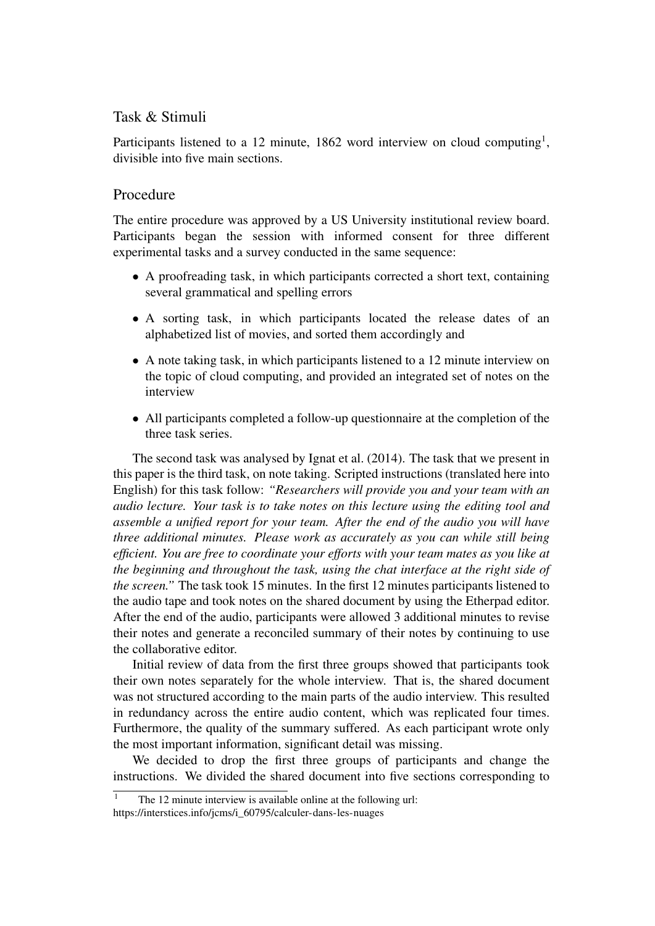#### Task & Stimuli

Participants listened to a 12 minute, 1862 word interview on cloud computing<sup>1</sup>, divisible into five main sections.

#### Procedure

The entire procedure was approved by a US University institutional review board. Participants began the session with informed consent for three different experimental tasks and a survey conducted in the same sequence:

- *•* A proofreading task, in which participants corrected a short text, containing several grammatical and spelling errors
- *•* A sorting task, in which participants located the release dates of an alphabetized list of movies, and sorted them accordingly and
- A note taking task, in which participants listened to a 12 minute interview on the topic of cloud computing, and provided an integrated set of notes on the interview
- *•* All participants completed a follow-up questionnaire at the completion of the three task series.

The second task was analysed by [Ignat et al.](#page-19-13) [\(2014\)](#page-19-13). The task that we present in this paper is the third task, on note taking. Scripted instructions (translated here into English) for this task follow: *"Researchers will provide you and your team with an audio lecture. Your task is to take notes on this lecture using the editing tool and assemble a unified report for your team. After the end of the audio you will have three additional minutes. Please work as accurately as you can while still being efficient. You are free to coordinate your efforts with your team mates as you like at the beginning and throughout the task, using the chat interface at the right side of the screen."* The task took 15 minutes. In the first 12 minutes participants listened to the audio tape and took notes on the shared document by using the Etherpad editor. After the end of the audio, participants were allowed 3 additional minutes to revise their notes and generate a reconciled summary of their notes by continuing to use the collaborative editor.

Initial review of data from the first three groups showed that participants took their own notes separately for the whole interview. That is, the shared document was not structured according to the main parts of the audio interview. This resulted in redundancy across the entire audio content, which was replicated four times. Furthermore, the quality of the summary suffered. As each participant wrote only the most important information, significant detail was missing.

We decided to drop the first three groups of participants and change the instructions. We divided the shared document into five sections corresponding to

<span id="page-8-0"></span>The 12 minute interview is available online at the following url: [https://interstices.info/jcms/i\\_60795/calculer-dans-les-nuages](https://interstices.info/jcms/i_60795/calculer-dans-les-nuages)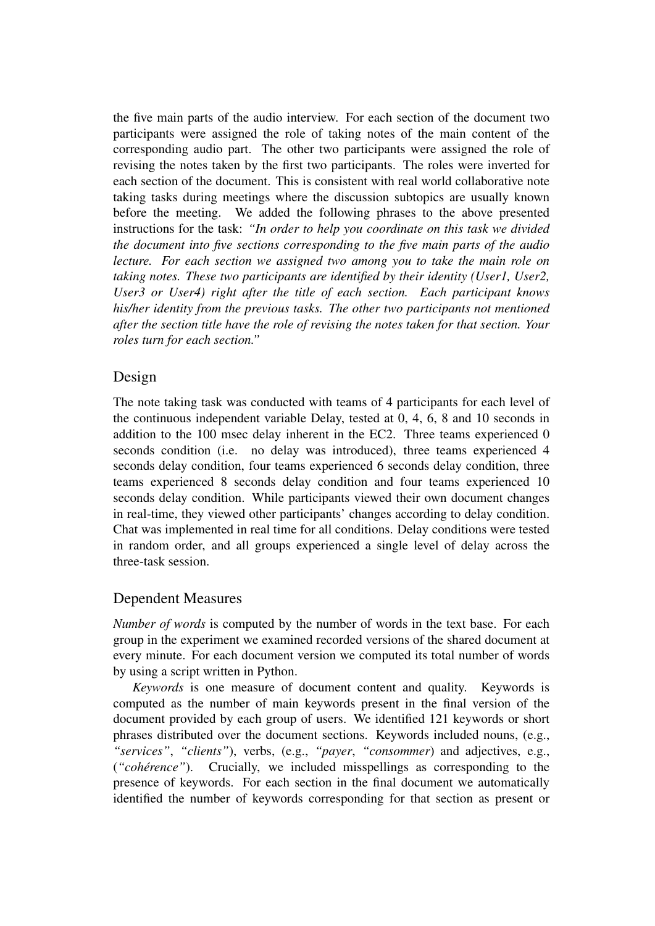the five main parts of the audio interview. For each section of the document two participants were assigned the role of taking notes of the main content of the corresponding audio part. The other two participants were assigned the role of revising the notes taken by the first two participants. The roles were inverted for each section of the document. This is consistent with real world collaborative note taking tasks during meetings where the discussion subtopics are usually known before the meeting. We added the following phrases to the above presented instructions for the task: *"In order to help you coordinate on this task we divided the document into five sections corresponding to the five main parts of the audio lecture. For each section we assigned two among you to take the main role on taking notes. These two participants are identified by their identity (User1, User2, User3 or User4) right after the title of each section. Each participant knows his/her identity from the previous tasks. The other two participants not mentioned after the section title have the role of revising the notes taken for that section. Your roles turn for each section."*

### Design

The note taking task was conducted with teams of 4 participants for each level of the continuous independent variable Delay, tested at 0, 4, 6, 8 and 10 seconds in addition to the 100 msec delay inherent in the EC2. Three teams experienced 0 seconds condition (i.e. no delay was introduced), three teams experienced 4 seconds delay condition, four teams experienced 6 seconds delay condition, three teams experienced 8 seconds delay condition and four teams experienced 10 seconds delay condition. While participants viewed their own document changes in real-time, they viewed other participants' changes according to delay condition. Chat was implemented in real time for all conditions. Delay conditions were tested in random order, and all groups experienced a single level of delay across the three-task session.

### Dependent Measures

*Number of words* is computed by the number of words in the text base. For each group in the experiment we examined recorded versions of the shared document at every minute. For each document version we computed its total number of words by using a script written in Python.

*Keywords* is one measure of document content and quality. Keywords is computed as the number of main keywords present in the final version of the document provided by each group of users. We identified 121 keywords or short phrases distributed over the document sections. Keywords included nouns, (e.g., *"services"*, *"clients"*), verbs, (e.g., *"payer*, *"consommer*) and adjectives, e.g., (*"cohérence"*). Crucially, we included misspellings as corresponding to the presence of keywords. For each section in the final document we automatically identified the number of keywords corresponding for that section as present or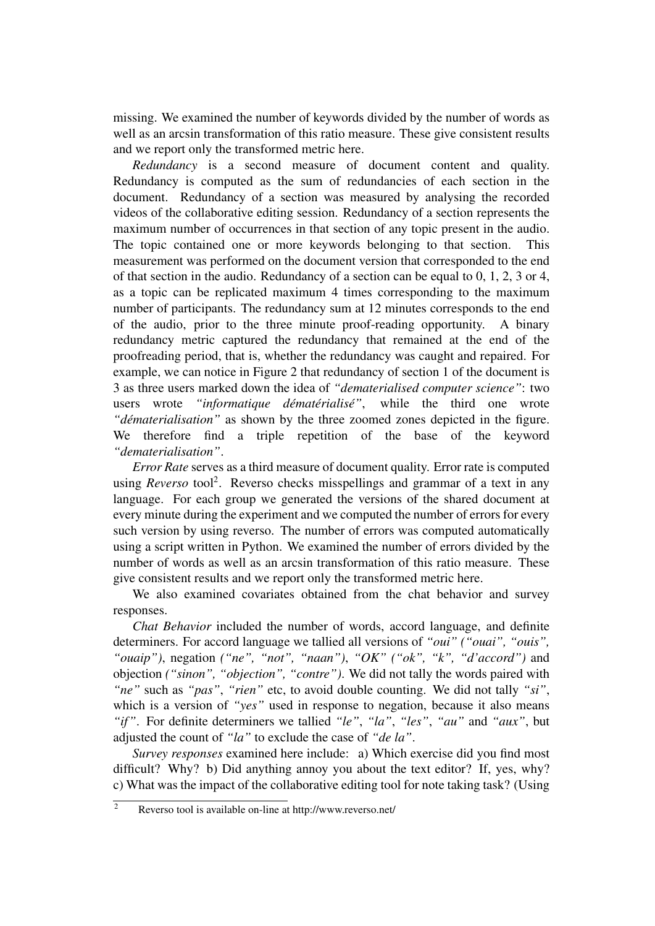missing. We examined the number of keywords divided by the number of words as well as an arcsin transformation of this ratio measure. These give consistent results and we report only the transformed metric here.

*Redundancy* is a second measure of document content and quality. Redundancy is computed as the sum of redundancies of each section in the document. Redundancy of a section was measured by analysing the recorded videos of the collaborative editing session. Redundancy of a section represents the maximum number of occurrences in that section of any topic present in the audio. The topic contained one or more keywords belonging to that section. This measurement was performed on the document version that corresponded to the end of that section in the audio. Redundancy of a section can be equal to 0, 1, 2, 3 or 4, as a topic can be replicated maximum 4 times corresponding to the maximum number of participants. The redundancy sum at 12 minutes corresponds to the end of the audio, prior to the three minute proof-reading opportunity. A binary redundancy metric captured the redundancy that remained at the end of the proofreading period, that is, whether the redundancy was caught and repaired. For example, we can notice in Figure [2](#page-7-0) that redundancy of section 1 of the document is 3 as three users marked down the idea of *"dematerialised computer science"*: two users wrote *"informatique dématérialisé"*, while the third one wrote *"dématerialisation"* as shown by the three zoomed zones depicted in the figure. We therefore find a triple repetition of the base of the keyword *"dematerialisation"*.

*Error Rate* serves as a third measure of document quality. Error rate is computed using *Reverso* tool<sup>2</sup>. Reverso checks misspellings and grammar of a text in any language. For each group we generated the versions of the shared document at every minute during the experiment and we computed the number of errors for every such version by using reverso. The number of errors was computed automatically using a script written in Python. We examined the number of errors divided by the number of words as well as an arcsin transformation of this ratio measure. These give consistent results and we report only the transformed metric here.

We also examined covariates obtained from the chat behavior and survey responses.

*Chat Behavior* included the number of words, accord language, and definite determiners. For accord language we tallied all versions of *"oui" ("ouai", "ouis", "ouaip")*, negation *("ne", "not", "naan")*, *"OK" ("ok", "k", "d'accord")* and objection *("sinon", "objection", "contre")*. We did not tally the words paired with *"ne"* such as *"pas"*, *"rien"* etc, to avoid double counting. We did not tally *"si"*, which is a version of *"yes"* used in response to negation, because it also means *"if"*. For definite determiners we tallied *"le"*, *"la"*, *"les"*, *"au"* and *"aux"*, but adjusted the count of *"la"* to exclude the case of *"de la"*.

*Survey responses* examined here include: a) Which exercise did you find most difficult? Why? b) Did anything annoy you about the text editor? If, yes, why? c) What was the impact of the collaborative editing tool for note taking task? (Using

<span id="page-10-0"></span> $\overline{a}$  Reverso tool is available on-line at <http://www.reverso.net/>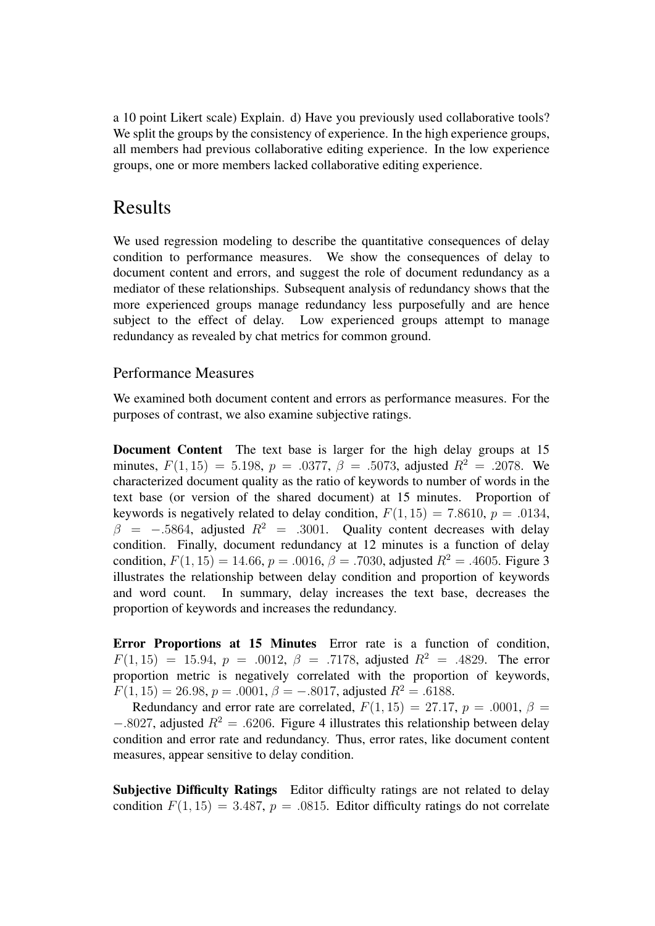a 10 point Likert scale) Explain. d) Have you previously used collaborative tools? We split the groups by the consistency of experience. In the high experience groups, all members had previous collaborative editing experience. In the low experience groups, one or more members lacked collaborative editing experience.

### Results

We used regression modeling to describe the quantitative consequences of delay condition to performance measures. We show the consequences of delay to document content and errors, and suggest the role of document redundancy as a mediator of these relationships. Subsequent analysis of redundancy shows that the more experienced groups manage redundancy less purposefully and are hence subject to the effect of delay. Low experienced groups attempt to manage redundancy as revealed by chat metrics for common ground.

### Performance Measures

We examined both document content and errors as performance measures. For the purposes of contrast, we also examine subjective ratings.

Document Content The text base is larger for the high delay groups at 15 minutes,  $F(1, 15) = 5.198$ ,  $p = .0377$ ,  $\beta = .5073$ , adjusted  $R^2 = .2078$ . We characterized document quality as the ratio of keywords to number of words in the text base (or version of the shared document) at 15 minutes. Proportion of keywords is negatively related to delay condition,  $F(1, 15) = 7.8610$ ,  $p = .0134$ ,  $\beta$  = -.5864, adjusted  $R^2$  = .3001. Quality content decreases with delay condition. Finally, document redundancy at 12 minutes is a function of delay condition,  $F(1, 15) = 14.66$ ,  $p = .0016$ ,  $\beta = .7030$  $\beta = .7030$  $\beta = .7030$ , adjusted  $R^2 = .4605$ . Figure 3 illustrates the relationship between delay condition and proportion of keywords and word count. In summary, delay increases the text base, decreases the proportion of keywords and increases the redundancy.

Error Proportions at 15 Minutes Error rate is a function of condition,  $F(1, 15) = 15.94$ ,  $p = .0012$ ,  $\beta = .7178$ , adjusted  $R^2 = .4829$ . The error proportion metric is negatively correlated with the proportion of keywords,  $F(1, 15) = 26.98$ ,  $p = .0001$ ,  $\beta = -.8017$ , adjusted  $R^2 = .6188$ .

Redundancy and error rate are correlated,  $F(1, 15) = 27.17$ ,  $p = .0001$ ,  $\beta =$  $-.8027$ , adjusted  $R^2 = .6206$ . Figure [4](#page-12-1) illustrates this relationship between delay condition and error rate and redundancy. Thus, error rates, like document content measures, appear sensitive to delay condition.

Subjective Difficulty Ratings Editor difficulty ratings are not related to delay condition  $F(1, 15) = 3.487$ ,  $p = .0815$ . Editor difficulty ratings do not correlate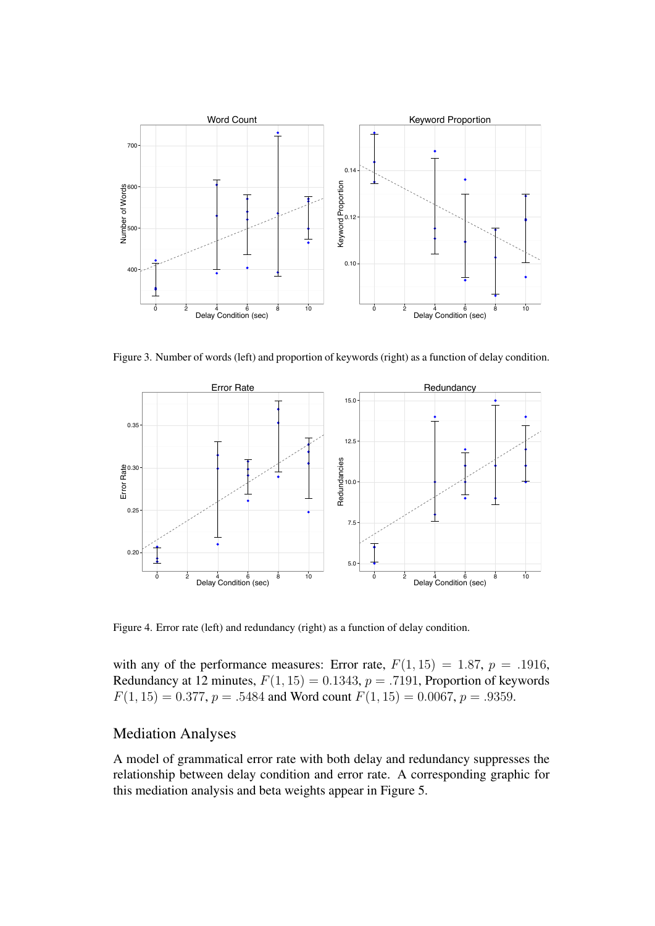

<span id="page-12-0"></span>Figure 3. Number of words (left) and proportion of keywords (right) as a function of delay condition.



<span id="page-12-1"></span>Figure 4. Error rate (left) and redundancy (right) as a function of delay condition.

with any of the performance measures: Error rate,  $F(1, 15) = 1.87$ ,  $p = .1916$ , Redundancy at 12 minutes,  $F(1, 15) = 0.1343$ ,  $p = .7191$ , Proportion of keywords  $F(1, 15) = 0.377$ ,  $p = .5484$  and Word count  $F(1, 15) = 0.0067$ ,  $p = .9359$ .

### Mediation Analyses

A model of grammatical error rate with both delay and redundancy suppresses the relationship between delay condition and error rate. A corresponding graphic for this mediation analysis and beta weights appear in Figure [5.](#page-13-0)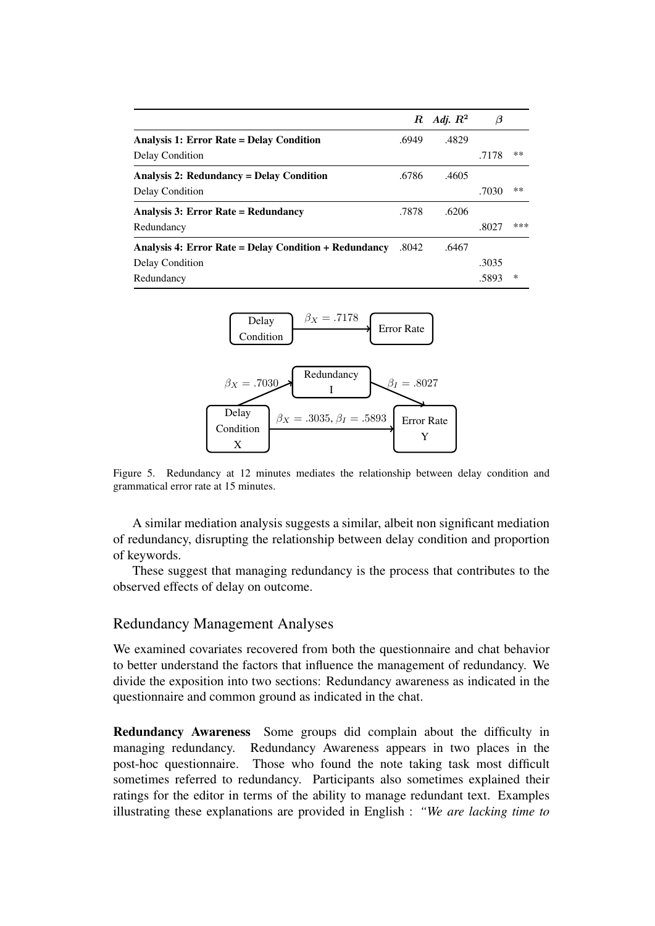|                                                       |       | $R$ Adj. $R^2$ | $\boldsymbol{\beta}$ |         |
|-------------------------------------------------------|-------|----------------|----------------------|---------|
| Analysis 1: Error Rate = Delay Condition              | .6949 | .4829          |                      |         |
| Delay Condition                                       |       |                | .7178                | $+ +$   |
| <b>Analysis 2: Redundancy = Delay Condition</b>       | .6786 | .4605          |                      |         |
| Delay Condition                                       |       |                | .7030                | $**$    |
| Analysis 3: Error Rate = Redundancy                   | .7878 | .6206          |                      |         |
| Redundancy                                            |       |                | .8027                | $* * *$ |
| Analysis 4: Error Rate = Delay Condition + Redundancy | .8042 | .6467          |                      |         |
| Delay Condition                                       |       |                | .3035                |         |
| Redundancy                                            |       |                | .5893                | $\ast$  |



<span id="page-13-0"></span>Figure 5. Redundancy at 12 minutes mediates the relationship between delay condition and grammatical error rate at 15 minutes.

A similar mediation analysis suggests a similar, albeit non significant mediation of redundancy, disrupting the relationship between delay condition and proportion of keywords.

These suggest that managing redundancy is the process that contributes to the observed effects of delay on outcome.

#### Redundancy Management Analyses

We examined covariates recovered from both the questionnaire and chat behavior to better understand the factors that influence the management of redundancy. We divide the exposition into two sections: Redundancy awareness as indicated in the questionnaire and common ground as indicated in the chat.

Redundancy Awareness Some groups did complain about the difficulty in managing redundancy. Redundancy Awareness appears in two places in the post-hoc questionnaire. Those who found the note taking task most difficult sometimes referred to redundancy. Participants also sometimes explained their ratings for the editor in terms of the ability to manage redundant text. Examples illustrating these explanations are provided in English : *"We are lacking time to*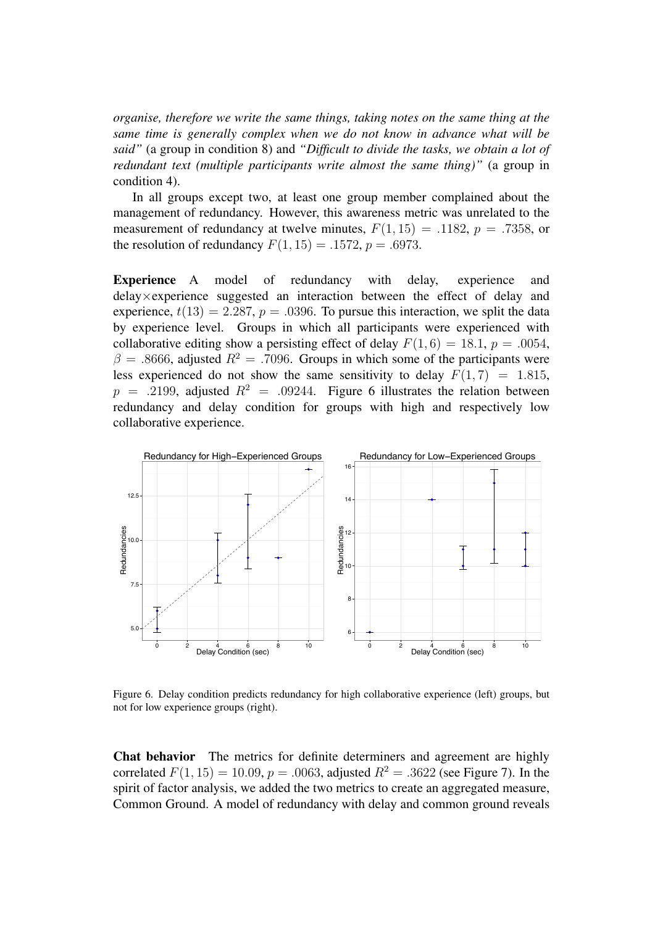*organise, therefore we write the same things, taking notes on the same thing at the same time is generally complex when we do not know in advance what will be said"* (a group in condition 8) and *"Difficult to divide the tasks, we obtain a lot of redundant text (multiple participants write almost the same thing)"* (a group in condition 4).

In all groups except two, at least one group member complained about the management of redundancy. However, this awareness metric was unrelated to the measurement of redundancy at twelve minutes,  $F(1, 15) = .1182$ ,  $p = .7358$ , or the resolution of redundancy  $F(1, 15) = .1572$ ,  $p = .6973$ .

Experience A model of redundancy with delay, experience and  $delay \times experience$  suggested an interaction between the effect of delay and experience,  $t(13) = 2.287$ ,  $p = .0396$ . To pursue this interaction, we split the data by experience level. Groups in which all participants were experienced with collaborative editing show a persisting effect of delay  $F(1, 6) = 18.1$ ,  $p = .0054$ ,  $\beta = .8666$ , adjusted  $R^2 = .7096$ . Groups in which some of the participants were less experienced do not show the same sensitivity to delay  $F(1, 7) = 1.815$ ,  $p = .2199$ , adjusted  $R^2 = .09244$ . Figure [6](#page-14-0) illustrates the relation between redundancy and delay condition for groups with high and respectively low collaborative experience.



<span id="page-14-0"></span>Figure 6. Delay condition predicts redundancy for high collaborative experience (left) groups, but not for low experience groups (right).

Chat behavior The metrics for definite determiners and agreement are highly correlated  $F(1, 15) = 10.09$ ,  $p = .0063$ , adjusted  $R^2 = .3622$  (see Figure [7\)](#page-15-0). In the spirit of factor analysis, we added the two metrics to create an aggregated measure, Common Ground. A model of redundancy with delay and common ground reveals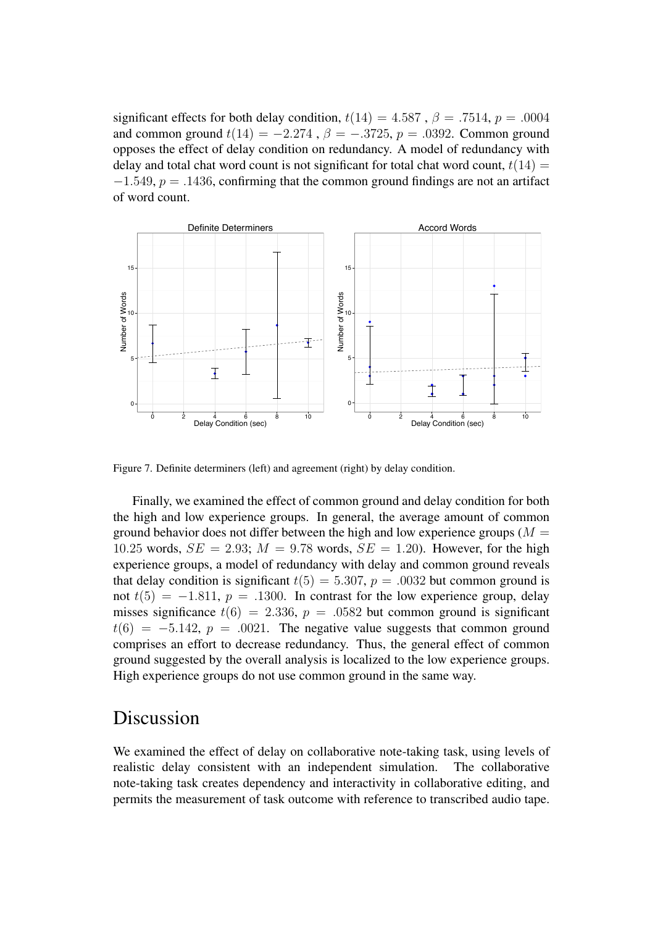significant effects for both delay condition,  $t(14) = 4.587$ ,  $\beta = .7514$ ,  $p = .0004$ and common ground  $t(14) = -2.274$ ,  $\beta = -.3725$ ,  $p = .0392$ . Common ground opposes the effect of delay condition on redundancy. A model of redundancy with delay and total chat word count is not significant for total chat word count,  $t(14)$  =  $-1.549$ ,  $p = .1436$ , confirming that the common ground findings are not an artifact of word count.



<span id="page-15-0"></span>Figure 7. Definite determiners (left) and agreement (right) by delay condition.

Finally, we examined the effect of common ground and delay condition for both the high and low experience groups. In general, the average amount of common ground behavior does not differ between the high and low experience groups ( $M =$ 10.25 words,  $SE = 2.93$ ;  $M = 9.78$  words,  $SE = 1.20$ ). However, for the high experience groups, a model of redundancy with delay and common ground reveals that delay condition is significant  $t(5) = 5.307$ ,  $p = .0032$  but common ground is not  $t(5) = -1.811$ ,  $p = .1300$ . In contrast for the low experience group, delay misses significance  $t(6) = 2.336$ ,  $p = .0582$  but common ground is significant  $t(6) = -5.142$ ,  $p = .0021$ . The negative value suggests that common ground comprises an effort to decrease redundancy. Thus, the general effect of common ground suggested by the overall analysis is localized to the low experience groups. High experience groups do not use common ground in the same way.

# Discussion

We examined the effect of delay on collaborative note-taking task, using levels of realistic delay consistent with an independent simulation. The collaborative note-taking task creates dependency and interactivity in collaborative editing, and permits the measurement of task outcome with reference to transcribed audio tape.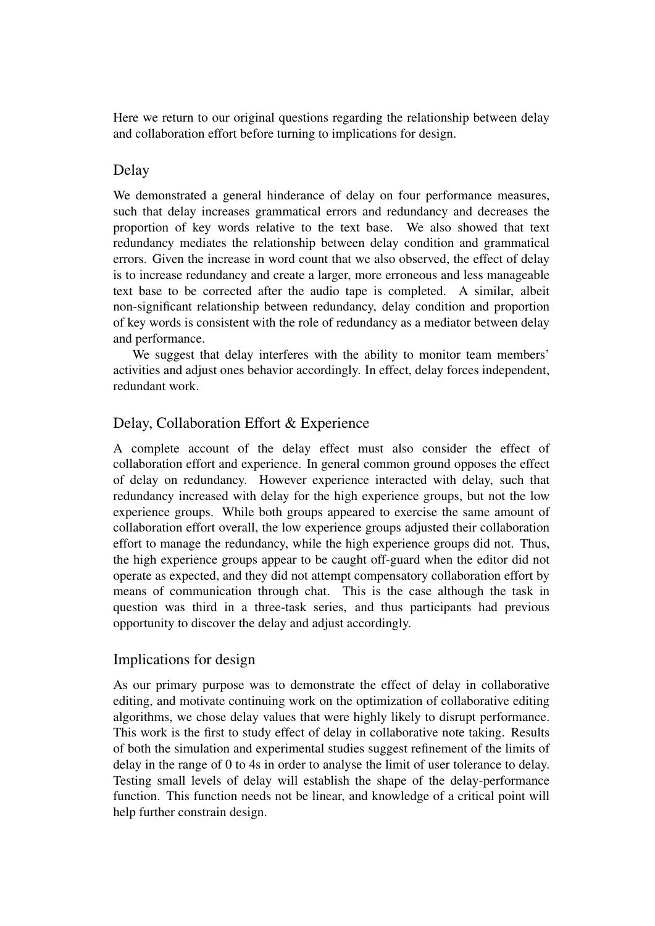Here we return to our original questions regarding the relationship between delay and collaboration effort before turning to implications for design.

#### Delay

We demonstrated a general hinderance of delay on four performance measures, such that delay increases grammatical errors and redundancy and decreases the proportion of key words relative to the text base. We also showed that text redundancy mediates the relationship between delay condition and grammatical errors. Given the increase in word count that we also observed, the effect of delay is to increase redundancy and create a larger, more erroneous and less manageable text base to be corrected after the audio tape is completed. A similar, albeit non-significant relationship between redundancy, delay condition and proportion of key words is consistent with the role of redundancy as a mediator between delay and performance.

We suggest that delay interferes with the ability to monitor team members' activities and adjust ones behavior accordingly. In effect, delay forces independent, redundant work.

### Delay, Collaboration Effort & Experience

A complete account of the delay effect must also consider the effect of collaboration effort and experience. In general common ground opposes the effect of delay on redundancy. However experience interacted with delay, such that redundancy increased with delay for the high experience groups, but not the low experience groups. While both groups appeared to exercise the same amount of collaboration effort overall, the low experience groups adjusted their collaboration effort to manage the redundancy, while the high experience groups did not. Thus, the high experience groups appear to be caught off-guard when the editor did not operate as expected, and they did not attempt compensatory collaboration effort by means of communication through chat. This is the case although the task in question was third in a three-task series, and thus participants had previous opportunity to discover the delay and adjust accordingly.

#### Implications for design

As our primary purpose was to demonstrate the effect of delay in collaborative editing, and motivate continuing work on the optimization of collaborative editing algorithms, we chose delay values that were highly likely to disrupt performance. This work is the first to study effect of delay in collaborative note taking. Results of both the simulation and experimental studies suggest refinement of the limits of delay in the range of 0 to 4s in order to analyse the limit of user tolerance to delay. Testing small levels of delay will establish the shape of the delay-performance function. This function needs not be linear, and knowledge of a critical point will help further constrain design.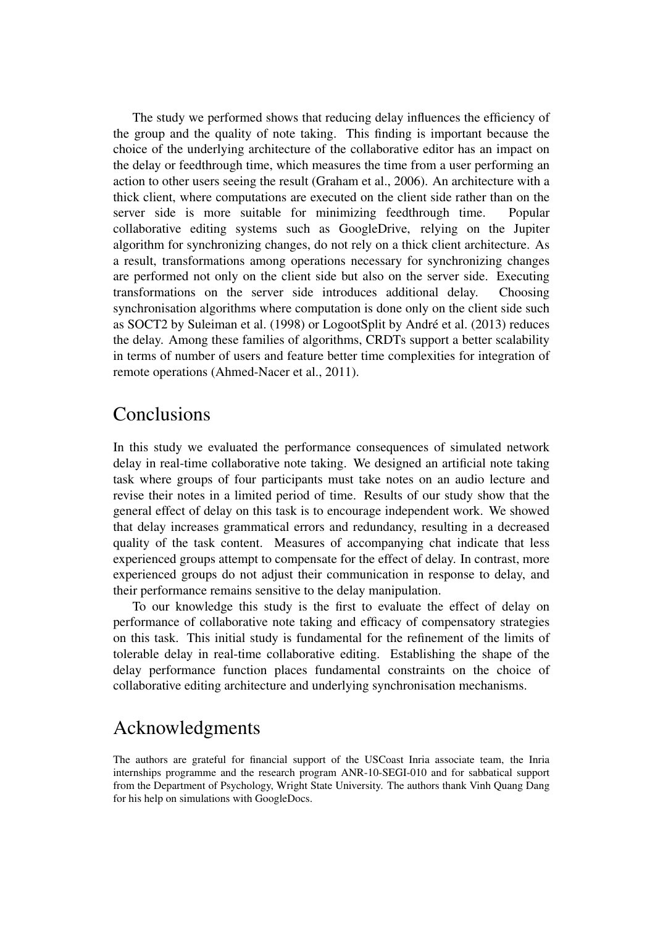The study we performed shows that reducing delay influences the efficiency of the group and the quality of note taking. This finding is important because the choice of the underlying architecture of the collaborative editor has an impact on the delay or feedthrough time, which measures the time from a user performing an action to other users seeing the result [\(Graham et al.,](#page-18-13) [2006\)](#page-18-13). An architecture with a thick client, where computations are executed on the client side rather than on the server side is more suitable for minimizing feedthrough time. Popular collaborative editing systems such as GoogleDrive, relying on the Jupiter algorithm for synchronizing changes, do not rely on a thick client architecture. As a result, transformations among operations necessary for synchronizing changes are performed not only on the client side but also on the server side. Executing transformations on the server side introduces additional delay. Choosing synchronisation algorithms where computation is done only on the client side such as SOCT2 by [Suleiman et al.](#page-19-14) [\(1998\)](#page-19-14) or LogootSplit by [André et al.](#page-18-14) [\(2013\)](#page-18-14) reduces the delay. Among these families of algorithms, CRDTs support a better scalability in terms of number of users and feature better time complexities for integration of remote operations [\(Ahmed-Nacer et al.,](#page-18-3) [2011\)](#page-18-3).

# Conclusions

In this study we evaluated the performance consequences of simulated network delay in real-time collaborative note taking. We designed an artificial note taking task where groups of four participants must take notes on an audio lecture and revise their notes in a limited period of time. Results of our study show that the general effect of delay on this task is to encourage independent work. We showed that delay increases grammatical errors and redundancy, resulting in a decreased quality of the task content. Measures of accompanying chat indicate that less experienced groups attempt to compensate for the effect of delay. In contrast, more experienced groups do not adjust their communication in response to delay, and their performance remains sensitive to the delay manipulation.

To our knowledge this study is the first to evaluate the effect of delay on performance of collaborative note taking and efficacy of compensatory strategies on this task. This initial study is fundamental for the refinement of the limits of tolerable delay in real-time collaborative editing. Establishing the shape of the delay performance function places fundamental constraints on the choice of collaborative editing architecture and underlying synchronisation mechanisms.

# Acknowledgments

The authors are grateful for financial support of the USCoast Inria associate team, the Inria internships programme and the research program ANR-10-SEGI-010 and for sabbatical support from the Department of Psychology, Wright State University. The authors thank Vinh Quang Dang for his help on simulations with GoogleDocs.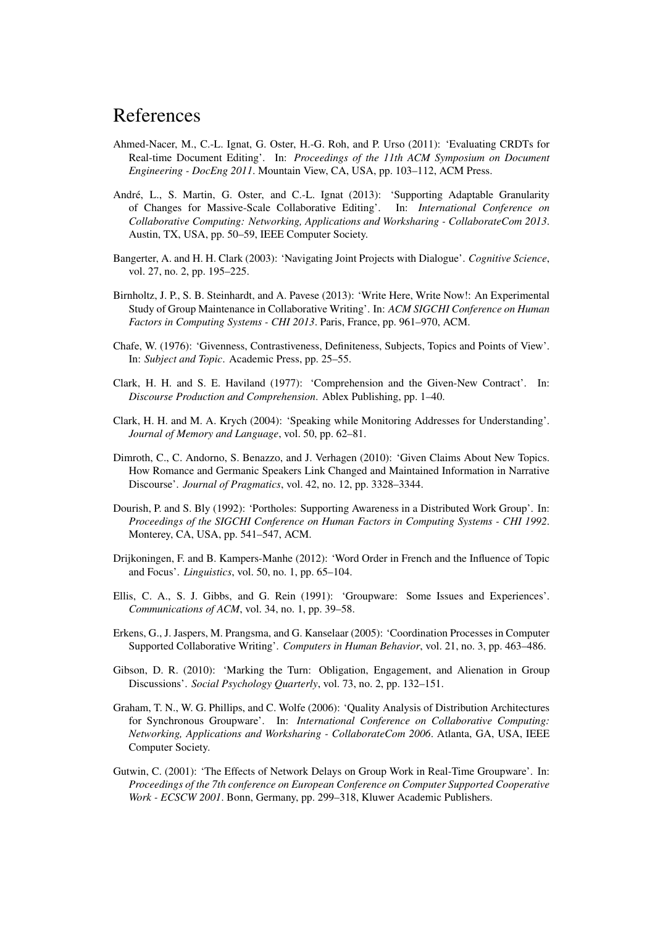## References

- <span id="page-18-3"></span>Ahmed-Nacer, M., C.-L. Ignat, G. Oster, H.-G. Roh, and P. Urso (2011): 'Evaluating CRDTs for Real-time Document Editing'. In: *Proceedings of the 11th ACM Symposium on Document Engineering - DocEng 2011*. Mountain View, CA, USA, pp. 103–112, ACM Press.
- <span id="page-18-14"></span>André, L., S. Martin, G. Oster, and C.-L. Ignat (2013): 'Supporting Adaptable Granularity of Changes for Massive-Scale Collaborative Editing'. In: *International Conference on Collaborative Computing: Networking, Applications and Worksharing - CollaborateCom 2013*. Austin, TX, USA, pp. 50–59, IEEE Computer Society.
- <span id="page-18-8"></span>Bangerter, A. and H. H. Clark (2003): 'Navigating Joint Projects with Dialogue'. *Cognitive Science*, vol. 27, no. 2, pp. 195–225.
- <span id="page-18-5"></span>Birnholtz, J. P., S. B. Steinhardt, and A. Pavese (2013): 'Write Here, Write Now!: An Experimental Study of Group Maintenance in Collaborative Writing'. In: *ACM SIGCHI Conference on Human Factors in Computing Systems - CHI 2013*. Paris, France, pp. 961–970, ACM.
- <span id="page-18-9"></span>Chafe, W. (1976): 'Givenness, Contrastiveness, Definiteness, Subjects, Topics and Points of View'. In: *Subject and Topic*. Academic Press, pp. 25–55.
- <span id="page-18-12"></span>Clark, H. H. and S. E. Haviland (1977): 'Comprehension and the Given-New Contract'. In: *Discourse Production and Comprehension*. Ablex Publishing, pp. 1–40.
- <span id="page-18-7"></span>Clark, H. H. and M. A. Krych (2004): 'Speaking while Monitoring Addresses for Understanding'. *Journal of Memory and Language*, vol. 50, pp. 62–81.
- <span id="page-18-11"></span>Dimroth, C., C. Andorno, S. Benazzo, and J. Verhagen (2010): 'Given Claims About New Topics. How Romance and Germanic Speakers Link Changed and Maintained Information in Narrative Discourse'. *Journal of Pragmatics*, vol. 42, no. 12, pp. 3328–3344.
- <span id="page-18-1"></span>Dourish, P. and S. Bly (1992): 'Portholes: Supporting Awareness in a Distributed Work Group'. In: *Proceedings of the SIGCHI Conference on Human Factors in Computing Systems - CHI 1992*. Monterey, CA, USA, pp. 541–547, ACM.
- <span id="page-18-10"></span>Drijkoningen, F. and B. Kampers-Manhe (2012): 'Word Order in French and the Influence of Topic and Focus'. *Linguistics*, vol. 50, no. 1, pp. 65–104.
- <span id="page-18-0"></span>Ellis, C. A., S. J. Gibbs, and G. Rein (1991): 'Groupware: Some Issues and Experiences'. *Communications of ACM*, vol. 34, no. 1, pp. 39–58.
- <span id="page-18-4"></span>Erkens, G., J. Jaspers, M. Prangsma, and G. Kanselaar (2005): 'Coordination Processes in Computer Supported Collaborative Writing'. *Computers in Human Behavior*, vol. 21, no. 3, pp. 463–486.
- <span id="page-18-6"></span>Gibson, D. R. (2010): 'Marking the Turn: Obligation, Engagement, and Alienation in Group Discussions'. *Social Psychology Quarterly*, vol. 73, no. 2, pp. 132–151.
- <span id="page-18-13"></span>Graham, T. N., W. G. Phillips, and C. Wolfe (2006): 'Quality Analysis of Distribution Architectures for Synchronous Groupware'. In: *International Conference on Collaborative Computing: Networking, Applications and Worksharing - CollaborateCom 2006*. Atlanta, GA, USA, IEEE Computer Society.
- <span id="page-18-2"></span>Gutwin, C. (2001): 'The Effects of Network Delays on Group Work in Real-Time Groupware'. In: *Proceedings of the 7th conference on European Conference on Computer Supported Cooperative Work - ECSCW 2001*. Bonn, Germany, pp. 299–318, Kluwer Academic Publishers.